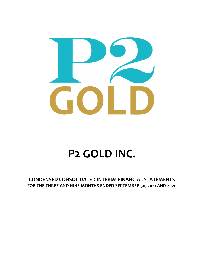

# **P2 GOLD INC.**

**CONDENSED CONSOLIDATED INTERIM FINANCIAL STATEMENTS FOR THE THREE AND NINE MONTHS ENDED SEPTEMBER 30, 2021 AND 2020**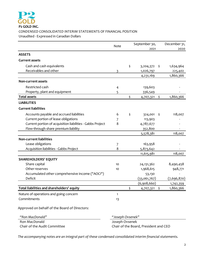

#### **P2 GOLD INC.** CONDENSED CONSOLIDATED INTERIM STATEMENTS OF FINANCIAL POSITION Unaudited ‐ Expressed in Canadian Dollars

|                                                            | Note             | September 30,   | December 31,  |             |
|------------------------------------------------------------|------------------|-----------------|---------------|-------------|
|                                                            |                  | 2021            |               | 2020        |
| <b>ASSETS</b>                                              |                  |                 |               |             |
| <b>Current assets</b>                                      |                  |                 |               |             |
| Cash and cash equivalents                                  |                  | \$<br>3,204,372 | \$            | 1,634,964   |
| Receivables and other                                      | 3                | 1,026,797       |               | 225,402     |
|                                                            |                  | 4,231,169       |               | 1,860,366   |
| <b>Non-current assets</b>                                  |                  |                 |               |             |
| Restricted cash                                            | 4                | 139,603         |               |             |
| Property, plant and equipment                              | 5                | 336,549         |               |             |
| <b>Total assets</b>                                        |                  | \$<br>4,707,321 | $\frac{1}{2}$ | 1,860,366   |
| <b>LIABILITIES</b>                                         |                  |                 |               |             |
| <b>Current liabilities</b>                                 |                  |                 |               |             |
| Accounts payable and accrued liabilities                   | 6                | \$<br>324,001   | \$            | 118,007     |
| Current portion of lease obligations                       | 7                | 113,903         |               |             |
| Current portion of acquisition liabilities - Gabbs Project | 8                | 4,787,677       |               |             |
| Flow-through share premium liability                       |                  | 352,800         |               |             |
|                                                            |                  | 5,578,381       |               | 118,007     |
| <b>Non-current liabilities</b>                             |                  |                 |               |             |
| Lease obligations                                          | 7                | 163,958         |               |             |
| Acquisition liabilities - Gabbs Project                    | 8                | 5,873,642       |               |             |
|                                                            |                  | 11,615,981      |               | 118,007     |
| <b>SHAREHOLDERS' EQUITY</b>                                |                  |                 |               |             |
| Share capital                                              | 10               | 24,131,362      |               | 8,490,458   |
| Other reserves                                             | 10               | 1,968,615       |               | 948,771     |
| Accumulated other comprehensive income ("AOCI")            |                  | 53,130          |               |             |
| Deficit                                                    |                  | (33,061,767)    |               | (7,696,870) |
|                                                            |                  | (6,908,660)     |               | 1,742,359   |
| Total liabilities and shareholders' equity                 |                  | \$<br>4,707,321 | \$            | 1,860,366   |
| Nature of operations and going concern                     | 1                |                 |               |             |
| Commitments                                                | 13               |                 |               |             |
| Approved on behalf of the Board of Directors:              |                  |                 |               |             |
| "Ron MacDonald"                                            | "Joseph Ovsenek" |                 |               |             |
| Ron MacDonald                                              | Joseph Ovsenek   |                 |               |             |

Chair of the Audit Committee Chair of the Board, President and CEO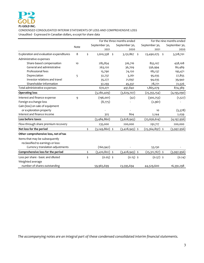

CONDENSED CONSOLIDATED INTERIM STATEMENTS OF LOSS AND COMPREHENSIVE LOSS Unaudited - Expressed in Canadian dollars, except for share data

|                                         |      | For the three months ended |                  | For the nine months ended |    |               |  |
|-----------------------------------------|------|----------------------------|------------------|---------------------------|----|---------------|--|
|                                         | Note | September 30,              | September 30,    | September 30,             |    | September 30, |  |
|                                         |      | 2021                       | 2020             | 2021                      |    | 2020          |  |
| Exploration and evaluation expenditures | 8    | \$<br>2,610,338            | \$<br>3,131,867  | \$<br>23,490,075 \$       |    | 3,318,701     |  |
| Administrative expenses                 |      |                            |                  |                           |    |               |  |
| Share-based compensation                | 10   | 285,854                    | 316,716          | 855,107                   |    | 458,108       |  |
| General and administrative              |      | 263,120                    | 36,709           | 556,994                   |    | 80,489        |  |
| Professional fees                       |      | 15,790                     | 74,120           | 185,137                   |    | 195,471       |  |
| Depreciation                            | 5    | 32,737                     | 3,261            | 95,035                    |    | 27,855        |  |
| Investor relations and travel           |      | 35,277                     | 21,697           | 94,035                    |    | 39,940        |  |
| Shareholder information                 |      | 37,293                     | 45,337           | 78,771                    |    | 72,526        |  |
| Total administrative expenses           |      | 670,071                    | 497,840          | 1,865,079                 |    | 874,389       |  |
| <b>Operating loss</b>                   |      | (3, 280, 409)              | (3,629,707)      | (25,355,154)              |    | (4, 193, 090) |  |
| Interest and finance expense            | 9    | (196,001)                  | (42)             | (300, 753)                |    | (1,527)       |  |
| Foreign exchange loss                   |      | (8,775)                    |                  | (2,961)                   |    |               |  |
| Gain (loss) on sale of equipment        |      |                            |                  |                           |    |               |  |
| or exploration property                 |      |                            |                  | 10                        |    | (5,378)       |  |
| Interest and finance income             |      | 325                        | 804              | 2,244                     |    | 2,039         |  |
| Loss before taxes                       |      | (3,484,860)                | (3, 628, 945)    | (25, 656, 614)            |    | (4,197,956)   |  |
| Flow-through share premium recovery     |      | 235,000                    | 200,000          | 291,717                   |    | 200,000       |  |
| Net loss for the period                 |      | \$<br>(3,249,860) \$       | $(3,428,945)$ \$ | (25,364,897)              | \$ | (3,997,956)   |  |
| Other comprehensive loss, net of tax    |      |                            |                  |                           |    |               |  |
| Items that may be subsequently          |      |                            |                  |                           |    |               |  |
| reclassified to earnings or loss:       |      |                            |                  |                           |    |               |  |
| Currency translation adjustments        |      | (160, 942)                 |                  | 53,130                    |    |               |  |
| Comprehensive loss for the period       |      | \$<br>$(3,410,802)$ \$     | $(3,428,945)$ \$ | $(25,311,767)$ \$         |    | (3,997,956)   |  |
| Loss per share - basic and diluted      |      | \$<br>$(0.05)$ \$          | $(0.15)$ \$      | $(0.57)$ \$               |    | (0.24)        |  |
| Weighted average                        |      |                            |                  |                           |    |               |  |
| number of shares outstanding            |      | 59,965,699                 | 23,595,694       | 44,529,600                |    | 16,391,298    |  |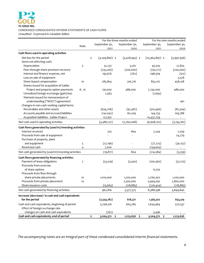## **P2 GOLD INC.** CONDENSED CONSOLIDATED INTERIM STATEMENTS OF CASH FLOWS Unaudited ‐ Expressed in Canadian dollars

|                                                        |      |                        | For the three months ended |                   | For the nine months ended |  |  |
|--------------------------------------------------------|------|------------------------|----------------------------|-------------------|---------------------------|--|--|
|                                                        | Note | September 30,          | September 30,              | September 30,     | September 30,             |  |  |
|                                                        |      | 2021                   | 2020                       | 2021              | 2020                      |  |  |
| Cash flows used in operating activities                |      |                        |                            |                   |                           |  |  |
| Net loss for the period                                |      | \$<br>$(3,249,860)$ \$ | $(3,428,945)$ \$           | $(25,364,897)$ \$ | (3,997,956)               |  |  |
| Items not affecting cash:                              |      |                        |                            |                   |                           |  |  |
| Depreciation                                           | 5    | 32,737                 | 3,261                      | 95,035            | 27,855                    |  |  |
| Flow-through share premium recovery                    |      | (235,000)              | (200,000)                  | (291,717)         | (200,000)                 |  |  |
| Interest and finance expense, net                      |      | 195,676                | (762)                      | 298,509           | (512)                     |  |  |
| Loss on sale of equipment                              |      |                        |                            |                   | 5,378                     |  |  |
| Share-based compensation                               | 10   | 285,854                | 316,716                    | 855,107           | 458,108                   |  |  |
| Shares issued for acquisition of Gabbs                 |      |                        |                            |                   |                           |  |  |
| Project and property option payments                   | 8,10 | 130,000                | 486,000                    | 7,730,000         | 486,000                   |  |  |
| Unrealized foreign exchange (gain) loss                |      | 2,563                  |                            | (1, 695)          |                           |  |  |
| Warrants issued for memorandum of                      |      |                        |                            |                   |                           |  |  |
| understanding ("MOU") agreement                        |      |                        |                            |                   | 461                       |  |  |
| Changes in non-cash working capital items:             |      |                        |                            |                   |                           |  |  |
| Receivables and other assets                           |      | (634,706)              | (97, 487)                  | (510, 956)        | (82, 304)                 |  |  |
| Accounts payable and accrued liabilities               |      | (141, 042)             | 161,209                    | 144,753           | 109,788                   |  |  |
| Acquisition liabilities - Gabbs Project                |      | 127,651                |                            | 10,437,759        |                           |  |  |
| Net cash used in operating activities                  |      | (3,486,127)            | (2,760,008)                | (6,608,102)       | (3, 193, 182)             |  |  |
| Cash flows generated by (used in) investing activities |      |                        |                            |                   |                           |  |  |
| Interest received                                      |      | 325                    | 804                        | 2,244             | 2,039                     |  |  |
| Proceeds from sale of equipment                        |      |                        |                            |                   | 24,779                    |  |  |
| Purchase of property, plant                            |      |                        |                            |                   |                           |  |  |
| and equipment                                          | 5    | (27, 196)              |                            | (77, 225)         | (30, 157)                 |  |  |
| Restricted cash                                        | 4    | 7,000                  |                            | (139, 603)        |                           |  |  |
| Net cash generated by (used in) investing activities   |      | (19, 871)              | 804                        | (214, 584)        | (3,339)                   |  |  |
| Cash flows generated by financing activities           |      |                        |                            |                   |                           |  |  |
| Payment of lease obligations                           | 7    | (33, 519)              | (3,540)                    | (100, 560)        | (31, 275)                 |  |  |
| Proceeds from exercise                                 |      |                        |                            |                   |                           |  |  |
| of share options                                       |      |                        |                            | 6,250             |                           |  |  |
| Proceeds from flow-through                             |      |                        |                            |                   |                           |  |  |
| share private placements                               | 10   | 1,010,000              | 1,200,000                  | 2,760,302         | 1,200,000                 |  |  |
| Proceeds from private placement                        | 10   |                        | 2,300,000                  | 5,949,030         | 2,800,000                 |  |  |
| Share issuance costs                                   |      | (13, 665)              | (118, 885)                 | (226, 424)        | (118, 885)                |  |  |
| Net cash generated by financing activities             |      | 962,816                | 3,377,575                  | 8,388,598         | 3,849,840                 |  |  |
| Increase (decrease) in cash and cash equivalents       |      |                        |                            |                   |                           |  |  |
| for the period                                         |      | (2,543,182)            | 618,371                    | 1,565,912         | 653,319                   |  |  |
| Cash and cash equivalents, beginning of period         |      | 5,748,316              | 605,285                    | 1,634,964         | 570,337                   |  |  |
| Effect of foreign exchange rate                        |      |                        |                            |                   |                           |  |  |
| changes on cash and cash equivalents                   |      | (762)                  |                            | 3,496             |                           |  |  |
| Cash and cash equivalents, end of period               |      | \$<br>3,204,372 \$     | 1,223,656 \$               | 3,204,372 \$      | 1,223,656                 |  |  |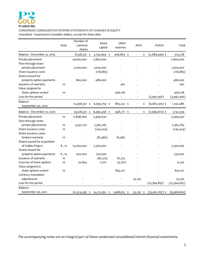#### CONDENSED CONSOLIDATED INTERIM STATEMENTS OF CHANGES IN EQUITY

Unaudited - Expressed in Canadian dollars, except for share data

|                                         | Note | Number of<br>common<br>shares | Share<br>capital | Other<br>reserves | AOCI      | Deficit           | Total        |
|-----------------------------------------|------|-------------------------------|------------------|-------------------|-----------|-------------------|--------------|
| Balance - December 31, 2019             |      | 8,558,331 \$                  | 2,792,644 \$     | 406,663 \$        | \$        | $(2,684,549)$ \$  | 514,758      |
| Private placement<br>Flow-through share |      | 14,600,000                    | 2,800,000        |                   |           |                   | 2,800,000    |
| private placement                       |      | 2,000,000                     | 1,000,000        |                   |           |                   | 1,000,000    |
| Share issuance costs                    |      |                               | (118, 885)       |                   |           |                   | (118, 885)   |
| Shares issued for                       |      |                               |                  |                   |           |                   |              |
| property option payments                |      | 800,000                       | 486,000          |                   |           |                   | 486,000      |
| Issuance of warrants                    | 10   |                               |                  | 461               |           |                   | 461          |
| Value assigned to                       |      |                               |                  |                   |           |                   |              |
| share options vested                    | 10   |                               |                  | 458,108           |           |                   | 458,108      |
| Loss for the period                     |      |                               |                  |                   |           | (3,997,956)       | (3,997,956)  |
| Balance -                               |      | 25,958,331 \$                 | 6,959,759 \$     | 865,232 \$        | \$        | $(6,682,505)$ \$  | 1,142,486    |
| September 30, 2020                      |      |                               |                  |                   |           |                   |              |
| Balance - December 31, 2020             |      | 29,518,331 \$                 | 8,490,458 \$     | 948,771 \$        | \$        | $(7,696,870)$ \$  | 1,742,359    |
| Private placement                       | 10   | 11,898,060                    | 5,949,030        |                   |           |                   | 5,949,030    |
| Flow-through share                      |      |                               |                  |                   |           |                   |              |
| private placements                      | 10   | 5,437,170                     | 2,365,785        |                   |           |                   | 2,365,785    |
| Share issuance costs                    | 10   |                               | (245, 424)       |                   |           |                   | (245, 424)   |
| Share issuance costs -                  |      |                               |                  |                   |           |                   |              |
| brokers warrants                        | 10   |                               | (81, 983)        | 81,983            |           |                   |              |
| Shares issued for acquisition           |      |                               |                  |                   |           |                   |              |
| of Gabbs Project                        | 8,10 | 15,000,000                    | 7,500,000        |                   |           |                   | 7,500,000    |
| Shares issued for                       |      |                               |                  |                   |           |                   |              |
| property option payments                | 8,10 | 500,000                       | 230,000          |                   |           |                   | 230,000      |
| Issuance of warrants                    | 10   |                               | (87, 515)        | 87,515            |           |                   |              |
| Exercise of share options               | 10   | 20,834                        | 11,011           | (4,761)           |           |                   | 6,250        |
| Value assigned to                       |      |                               |                  |                   |           |                   |              |
| share options vested                    | 10   |                               |                  | 855,107           |           |                   | 855,107      |
| Currency translation                    |      |                               |                  |                   |           |                   |              |
| adjustments                             |      |                               |                  |                   | 53,130    |                   | 53,130       |
| Loss for the period                     |      |                               |                  |                   |           | (25,364,897)      | (25,364,897) |
| Balance -                               |      |                               |                  |                   |           |                   |              |
| September 30, 2021                      |      | 62,374,395 \$                 | 24,131,362 \$    | 1,968,615 \$      | 53,130 \$ | $(33,061,767)$ \$ | (6,908,660)  |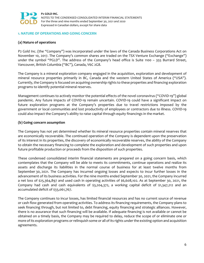

#### **1. NATURE OF OPERATIONS AND GOING CONCERN**

#### **(a) Nature of operations**

P2 Gold Inc. (the "Company") was incorporated under the laws of the Canada Business Corporations Act on November 10, 2017. The Company's common shares are traded on the TSX Venture Exchange ("Exchange") under the symbol "PGLD". The address of the Company's head office is Suite 1100 – 355 Burrard Street, Vancouver, British Columbia ("BC"), Canada, V6C 2G8.

The Company is a mineral exploration company engaged in the acquisition, exploration and development of mineral resource properties primarily in BC, Canada and the western United States of America ("USA"). Currently, the Company is focused on acquiring ownership rights to these properties and financing exploration programs to identify potential mineral reserves.

Management continues to actively monitor the potential effects of the novel coronavirus ("COVID-19") global pandemic. Any future impacts of COVID‐19 remain uncertain. COVID‐19 could have a significant impact on future exploration programs at the Company's properties due to travel restrictions imposed by the government or local communities and lost productivity of employees or contractors due to illness. COVID‐19 could also impact the Company's ability to raise capital through equity financings in the market.

#### **(b) Going concern assumption**

The Company has not yet determined whether its mineral resource properties contain mineral reserves that are economically recoverable. The continued operation of the Company is dependent upon the preservation of its interest in its properties, the discovery of economically recoverable reserves, the ability of the Company to obtain the necessary financing to complete the exploration and development of such properties and upon future profitable production or proceeds from the disposition of such properties.

These condensed consolidated interim financial statements are prepared on a going concern basis, which contemplates that the Company will be able to meets its commitments, continue operations and realize its assets and discharge its liabilities in the normal course of business for at least twelve months from September 30, 2021. The Company has incurred ongoing losses and expects to incur further losses in the advancement of its business activities. For the nine months ended September 30, 2021, the Company incurred a net loss of \$25,364,897 and used cash in operating activities of \$6,608,102. As at September 30, 2021, the Company had cash and cash equivalents of \$3,204,372, a working capital deficit of \$1,347,212 and an accumulated deficit of \$33,061,767.

The Company continues to incur losses, has limited financial resources and has no current source of revenue or cash flow generated from operating activities. To address its financing requirements, the Company plans to seek financing through, but not limited to, debt financing, equity financing and strategic alliances. However, there is no assurance that such financing will be available. If adequate financing is not available or cannot be obtained on a timely basis, the Company may be required to delay, reduce the scope of or eliminate one or more of its exploration programs or relinquish some or all of its rights under the existing option and acquisition agreements.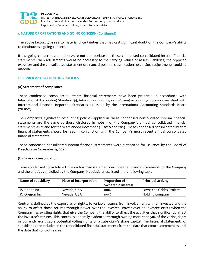

#### **1. NATURE OF OPERATIONS AND GOING CONCERN (Continued)**

The above factors give rise to material uncertainties that may cast significant doubt on the Company's ability to continue as a going concern.

If the going concern assumption were not appropriate for these condensed consolidated interim financial statements, then adjustments would be necessary to the carrying values of assets, liabilities, the reported expenses and the consolidated statement of financial position classifications used. Such adjustments could be material.

#### **2. SIGNIFICANT ACCOUNTING POLICIES**

#### **(a) Statement of compliance**

These condensed consolidated interim financial statements have been prepared in accordance with International Accounting Standard 34, *Interim Financial Reporting* using accounting policies consistent with International Financial Reporting Standards as issued by the International Accounting Standards Board ("IFRS").

The Company's significant accounting policies applied in these condensed consolidated interim financial statements are the same as those disclosed in note 3 of the Company's annual consolidated financial statements as at and for the years ended December 31, 2020 and 2019. These condensed consolidated interim financial statements should be read in conjunction with the Company's most recent annual consolidated financial statements.

These condensed consolidated interim financial statements were authorized for issuance by the Board of Directors on November 9, 2021.

#### **(b) Basis of consolidation**

These condensed consolidated interim financial statements include the financial statements of the Company and the entities controlled by the Company, its subsidiaries, listed in the following table:

| Name of subsidiary         | Place of incorporation | Proportion of<br>ownership interest | <b>Principal activity</b> |
|----------------------------|------------------------|-------------------------------------|---------------------------|
| P <sub>2</sub> Gabbs Inc.  | Nevada, USA            | 100%                                | Owns the Gabbs Project    |
| P <sub>2</sub> Oregon Inc. | Nevada, USA            | 100%                                | Holding company           |

Control is defined as the exposure, or rights, to variable returns from involvement with an investee and the ability to affect those returns through power over the investee. Power over an investee exists when the Company has existing rights that give the Company the ability to direct the activities that significantly affect the investee's returns. This control is generally evidenced through owning more than 50% of the voting rights or currently exercisable potential voting rights of a subsidiary's share capital. The financial statements of subsidiaries are included in the consolidated financial statements from the date that control commences until the date that control ceases.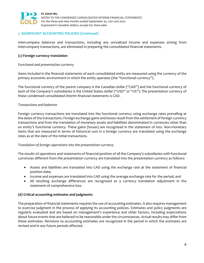

#### **2. SIGNIFICANT ACCOUNTING POLICIES (Continued)**

Intercompany balances and transactions, including any unrealized income and expenses arising from intercompany transactions, are eliminated in preparing the consolidated financial statements.

#### **(c) Foreign currency translation**

#### *Functional and presentation currency*

Items included in the financial statements of each consolidated entity are measured using the currency of the primary economic environment in which the entity operates (the "functional currency").

The functional currency of the parent company is the Canadian dollar ("CAD") and the functional currency of each of the Company's subsidiaries is the United States dollar ("USD" or "US"). The presentation currency of these condensed consolidated interim financial statements is CAD.

#### *Transactions and balances*

Foreign currency transactions are translated into the functional currency using exchange rates prevailing at the dates of the transactions. Foreign exchange gains and losses result from the settlement of foreign currency transactions and from the translation of monetary assets and liabilities denominated in currencies other than an entity's functional currency. These gains (losses) are recognized in the statement of loss. Non‐monetary items that are measured in terms of historical cost in a foreign currency are translated using the exchange rates as at the date of the initial transactions.

#### *Translation of foreign operations into the presentation currency*

The results of operations and statements of financial position of all the Company's subsidiaries with functional currencies different from the presentation currency are translated into the presentation currency as follows:

- Assets and liabilities are translated into CAD using the exchange rate at the statement of financial position date;
- Income and expenses are translated into CAD using the average exchange rate for the period; and
- All resulting exchange differences are recognized as a currency translation adjustment in the statement of comprehensive loss.

#### **(d) Critical accounting estimates and judgments**

The preparation of financial statements requires the use of accounting estimates. It also requires management to exercise judgment in the process of applying its accounting policies. Estimates and policy judgments are regularly evaluated and are based on management's experience and other factors, including expectations about future events that are believed to be reasonable under the circumstances. Actual results may differ from these estimates. Revisions to accounting estimates are recognized in the period in which the estimates are revised and in any future periods affected.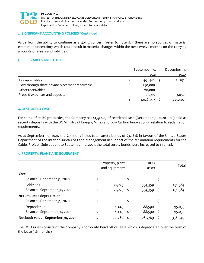

#### **2. SIGNIFICANT ACCOUNTING POLICIES (Continued)**

Aside from the ability to continue as a going concern (refer to note 1b), there are no sources of material estimation uncertainty which could result in material changes within the next twelve months on the carrying amounts of assets and liabilities.

#### **3. RECEIVABLES AND OTHER**

|                                                 | September 30, | December 31, |
|-------------------------------------------------|---------------|--------------|
|                                                 | 2021          | 2020         |
| Tax receivables                                 | 491,482       | 171,752      |
| Flow-through share private placement receivable | 250,000       |              |
| Other receivables                               | 210,000       |              |
| Prepaid expenses and deposits                   | 75,315        | 53,650       |
|                                                 | 1,026,797     | 225,402      |

#### **4. RESTRICTED CASH**

For some of its BC properties, the Company has \$139,603 of restricted cash (December 31, 2020 – nil) held as security deposits with the BC Ministry of Energy, Mines and Low Carbon Innovation in relation to reclamation requirements.

As at September 30, 2021, the Company holds total surety bonds of \$32,818 in favour of the United States Department of the Interior Bureau of Land Management in support of the reclamation requirements for the Gabbs Project. Subsequent to September 30, 2021, the total surety bonds were increased to \$40,748.

#### **5. PROPERTY, PLANT AND EQUIPMENT**

|                                     | Property, plant<br>and equipment | <b>ROU</b><br>asset |              |    |         |
|-------------------------------------|----------------------------------|---------------------|--------------|----|---------|
| Cost                                |                                  |                     |              |    |         |
| Balance - December 31, 2020         |                                  |                     |              | \$ |         |
| Additions                           |                                  | 77,225              | 354,359      |    | 431,584 |
| Balance - September 30, 2021        |                                  | 77,225              | $354,359$ \$ |    | 431,584 |
| <b>Accumulated depreciation</b>     |                                  |                     |              |    |         |
| Balance - December 31, 2020         |                                  |                     | \$           |    |         |
| Depreciation                        |                                  | 6,445               | 88,590       |    | 95,035  |
| Balance - September 30, 2021        |                                  | 6,445               | 88,590       |    | 95,035  |
| Net book value - September 30, 2021 |                                  | 70,780              | 265,769      |    | 336,549 |

The ROU asset consists of the Company's corporate head office lease which is depreciated over the term of the lease (36 months).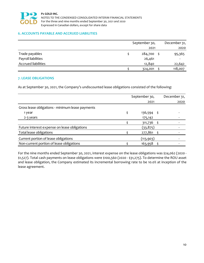

#### **6. ACCOUNTS PAYABLE AND ACCRUED LIABILITIES**

|                            | September 30, | December 31, |
|----------------------------|---------------|--------------|
|                            | 2021          | 2020         |
| Trade payables             | 284,700       | 95,365       |
| Payroll liabilities        | 26,461        |              |
| <b>Accrued liabilities</b> | 12,840        | 22,642       |
|                            | 324,001       | 118,007      |

#### **7. LEASE OBLIGATIONS**

As at September 30, 2021, the Company's undiscounted lease obligations consisted of the following:

|                                                  | September 30, | December 31, |
|--------------------------------------------------|---------------|--------------|
|                                                  | 2021          | 2020         |
| Gross lease obligations - minimum lease payments |               |              |
| 1 year                                           | 136,594 \$    |              |
| 2-3 years                                        | 175,142       |              |
|                                                  | 311,736 \$    |              |
| Future interest expense on lease obligations     | (33,875)      |              |
| Total lease obligations                          | 277,861 \$    |              |
| Current portion of lease obligations             | (113, 903)    |              |
| Non-current portion of lease obligations         | 163,958       |              |

For the nine months ended September 30, 2021, interest expense on the lease obligations was \$24,062 (2020 ‐ \$1,527). Total cash payments on lease obligations were \$100,560 (2020 ‐ \$31,275). To determine the ROU asset and lease obligation, the Company estimated its incremental borrowing rate to be 10.0% at inception of the lease agreement.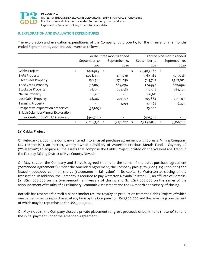

#### **8. EXPLORATION AND EVALUATION EXPENDITURES**

The exploration and evaluation expenditures of the Company, by property, for the three and nine months ended September 30, 2021 and 2020 were as follows:

|                                      |                 |      | For the three months ended | For the nine months ended |    |               |  |
|--------------------------------------|-----------------|------|----------------------------|---------------------------|----|---------------|--|
|                                      | September 30,   |      | September 30,              | September 30,             |    | September 30, |  |
|                                      | 2021            |      | 2020                       | 2021                      |    | 2020          |  |
| Gabbs Project                        | \$<br>1,121,949 | - \$ |                            | \$<br>20,403,086          | \$ |               |  |
| <b>BAM Property</b>                  | 1,028,439       |      | 479,036                    | 1,784,182                 |    | 479,036       |  |
| <b>Silver Reef Property</b>          | 238,916         |      | 1,274,050                  | 763,742                   |    | 1,367,812     |  |
| <b>Todd Creek Property</b>           | 312,085         |      | 889,894                    | 424,992                   |    | 889,894       |  |
| Stockade Property                    | 128,344         |      | 284,381                    | 190,918                   |    | 284,381       |  |
| Natlan Property                      | 166,611         |      |                            | 166,611                   |    |               |  |
| Lost Cabin Property                  | 48,467          |      | 201,307                    | 105,864                   |    | 201,307       |  |
| <b>Timmins Property</b>              |                 |      | 3,199                      | 37,468                    |    | 96,271        |  |
| Prospective exploration properties   | (32, 685)       |      |                            | 15,000                    |    |               |  |
| British Columbia Mineral Exploration |                 |      |                            |                           |    |               |  |
| Tax Credit ("BCMETC") recovery       | (401,788)       |      |                            | (401,788)                 |    |               |  |
|                                      | \$<br>2,610,338 | \$   | 3,131,867                  | \$<br>23,490,075          | \$ | 3,318,701     |  |

#### **(a) Gabbs Project**

On February 22, 2021, the Company entered into an asset purchase agreement with Borealis Mining Company, LLC ("Borealis"), an indirect, wholly owned subsidiary of Waterton Precious Metals Fund II Cayman, LP ("Waterton") to acquire all the assets that comprise the Gabbs Project located on the Walker‐Lane Trend in the Fairplay Mining District of Nye County, Nevada.

On May 4, 2021, the Company and Borealis agreed to amend the terms of the asset purchase agreement ("Amended Agreement"). Under the Amended Agreement, the Company paid \$1,216,600 (US\$1,000,000) and issued 15,000,000 common shares (\$7,500,000 in fair value) in its capital to Waterton at closing of the transaction. In addition, the Company is required to pay Waterton Nevada Splitter LLC, an affiliate of Borealis, (a) US\$4,000,000 on the twelve‐month anniversary of closing and (b) US\$5,000,000 on the earlier of the announcement of results of a Preliminary Economic Assessment and the 24‐month anniversary of closing.

Borealis has reserved for itself a 2% net smelter returns royalty on production from the Gabbs Project, of which one percent may be repurchased at any time by the Company for US\$1,500,000 and the remaining one percent of which may be repurchased for US\$5,000,000.

On May 17, 2021, the Company closed a private placement for gross proceeds of \$5,949,030 (note 10) to fund the initial payment under the Amended Agreement.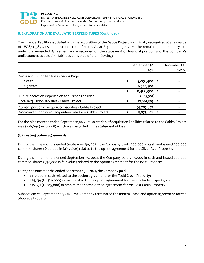

#### **8. EXPLORATION AND EVALUATION EXPENDITURES (Continued)**

The financial liability associated with the acquisition of the Gabbs Project was initially recognized at a fair value of US\$8,145,895, using a discount rate of 10.0%. As at September 30, 2021, the remaining amounts payable under the Amended Agreement were recorded on the statement of financial position and the Company's undiscounted acquisition liabilities consisted of the following:

|                                                                | September 30, | December 31, |
|----------------------------------------------------------------|---------------|--------------|
|                                                                | 2021          | 2020         |
| Gross acquisition liabilities - Gabbs Project                  |               |              |
| 1 year                                                         | 5,096,400 \$  |              |
| 2-3 years                                                      | 6,370,500     |              |
|                                                                | 11,466,900    |              |
| Future accretion expense on acquisition liabilities            | (805,581)     |              |
| Total acquisition liabilities - Gabbs Project                  | 10,661,319    |              |
| Current portion of acquisition liabilities - Gabbs Project     | (4,787,677)   |              |
| Non-current portion of acquisition liabilities - Gabbs Project | 5,873,642     |              |

For the nine months ended September 30, 2021, accretion of acquisition liabilities related to the Gabbs Project was \$276,691 (2020 – nil) which was recorded in the statement of loss.

#### **(b) Existing option agreements**

During the nine months ended September 30, 2021, the Company paid \$200,000 in cash and issued 200,000 common shares (\$100,000 in fair value) related to the option agreement for the Silver Reef Property.

During the nine months ended September 30, 2021, the Company paid \$150,000 in cash and issued 200,000 common shares (\$90,000 in fair value) related to the option agreement for the BAM Property.

During the nine months ended September 30, 2021, the Company paid:

- \$150,000 in cash related to the option agreement for the Todd Creek Property;
- \$25,139 (US\$20,000) in cash related to the option agreement for the Stockade Property; and
- \$18,651 (US\$15,000) in cash related to the option agreement for the Lost Cabin Property.

Subsequent to September 30, 2021, the Company terminated the mineral lease and option agreement for the Stockade Property.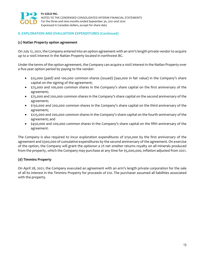

#### **8. EXPLORATION AND EVALUATION EXPENDITURES (Continued)**

#### **(c) Natlan Property option agreement**

On July 12, 2021, the Company entered into an option agreement with an arm's length private vendor to acquire up to a 100% interest in the Natlan Property located in northwest BC.

Under the terms of the option agreement, the Company can acquire a 100% interest in the Natlan Property over a five‐year option period by paying to the vendor:

- \$25,000 (paid) and 100,000 common shares (issued) (\$40,000 in fair value) in the Company's share capital on the signing of the agreement;
- \$75,000 and 100,000 common shares in the Company's share capital on the first anniversary of the agreement;
- \$75,000 and 200,000 common shares in the Company's share capital on the second anniversary of the agreement;
- \$150,000 and 200,000 common shares in the Company's share capital on the third anniversary of the agreement;
- \$225,000 and 200,000 common shares in the Company's share capital on the fourth anniversary of the agreement; and
- \$450,000 and 200,000 common shares in the Company's share capital on the fifth anniversary of the agreement.

The Company is also required to incur exploration expenditures of \$150,000 by the first anniversary of the agreement and \$300,000 of cumulative expenditures by the second anniversary of the agreement. On exercise of the option, the Company will grant the optionor a 2% net smelter returns royalty on all minerals produced from the property, which the Company may purchase at any time for \$5,000,000, inflation adjusted from 2021.

#### **(d) Timmins Property**

On April 28, 2021, the Company executed an agreement with an arm's length private corporation for the sale of all its interest in the Timmins Property for proceeds of \$10. The purchaser assumed all liabilities associated with the property.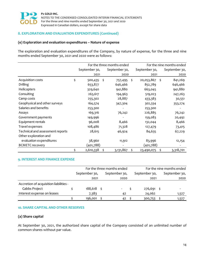

#### **8. EXPLORATION AND EVALUATION EXPENDITURES (Continued)**

#### **(e) Exploration and evaluation expenditures – Nature of expense**

The exploration and evaluation expenditures of the Company, by nature of expense, for the three and nine months ended September 30, 2021 and 2020 were as follows:

|                                  |                       | For the three months ended | For the nine months ended |    |               |  |
|----------------------------------|-----------------------|----------------------------|---------------------------|----|---------------|--|
|                                  | September 30,         | September 30,              | September 30,             |    | September 30, |  |
|                                  | 2021                  | 2020                       | 2021                      |    | 2020          |  |
| Acquisition costs                | \$<br>- \$<br>500,435 | 757,495                    | \$<br>20,053,867          | \$ | 841,269       |  |
| Drilling                         | 653,877               | 646,466                    | 852,789                   |    | 646,466       |  |
| Helicopters                      | 329,640               | 941,880                    | 663,045                   |    | 941,880       |  |
| Consulting                       | 263,617               | 194,963                    | 519,023                   |    | 247,263       |  |
| Camp costs                       | 255,302               | 28,887                     | 433,383                   |    | 30,551        |  |
| Geophysical and other surveys    | 164,574               | 347,304                    | 302,334                   |    | 353,274       |  |
| Salaries and benefits            | 253,300               |                            | 253,300                   |    |               |  |
| Assays                           | 169,316               | 76,242                     | 226,885                   |    | 76,242        |  |
| Government payments              | 149,996               |                            | 159,083                   |    | 20,492        |  |
| Equipment rentals                | 96,008                | 8,466                      | 132,044                   |    | 8,466         |  |
| Travel expenses                  | 108,486               | 71,328                     | 127,479                   |    | 73,415        |  |
| Technical and assessment reports | 28,615                | 46,924                     | 84,635                    |    | 67,229        |  |
| Other exploration and            |                       |                            |                           |    |               |  |
| evaluation expenditures          | 38,960                | 11,912                     | 83,996                    |    | 12,154        |  |
| <b>BCMETC recovery</b>           | (401,788)             |                            | (401,788)                 |    |               |  |
|                                  | 2,610,338<br>\$       | 3,131,867                  | \$<br>23,490,075          | \$ | 3,318,701     |  |

#### **9. INTEREST AND FINANCE EXPENSE**

|                                        | For the three months ended |  |               | For the nine months ended |               |  |               |
|----------------------------------------|----------------------------|--|---------------|---------------------------|---------------|--|---------------|
|                                        | September 30,              |  | September 30, |                           | September 30, |  | September 30, |
|                                        | 2021                       |  | 2020          |                           | 2021          |  | 2020          |
| Accretion of acquisition liabilities - |                            |  |               |                           |               |  |               |
| Gabbs Project                          | $188,618$ \$               |  |               |                           | 276,691 \$    |  |               |
| Interest expense on leases             | 7,383                      |  | 42            |                           | 24,062        |  | 1,527         |
|                                        | 196,001                    |  | 42            |                           | 300,753       |  | 1,527         |

#### **10. SHARE CAPITAL AND OTHER RESERVES**

#### **(a) Share capital**

At September 30, 2021, the authorized share capital of the Company consisted of an unlimited number of common shares without par value.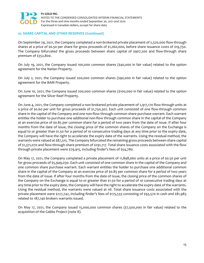

#### **10. SHARE CAPITAL AND OTHER RESERVES (Continued)**

On September 29, 2021, the Company completed a non‐brokered private placement of 2,520,000 flow‐through shares at a price of \$0.50 per share for gross proceeds of \$1,260,000, before share issuance costs of \$19,750. The Company bifurcated the gross proceeds between share capital of \$907,200 and flow-through share premium of \$352,800.

On July 19, 2021, the Company issued 100,000 common shares (\$40,000 in fair value) related to the option agreement for the Natlan Property.

On July 2, 2021, the Company issued 200,000 common shares (\$90,000 in fair value) related to the option agreement for the BAM Property.

On June 10, 2021, the Company issued 200,000 common shares (\$100,000 in fair value) related to the option agreement for the Silver Reef Property.

On June 4, 2021, the Company completed a non-brokered private placement of 2,917,170 flow-through units at a price of \$0.60 per unit for gross proceeds of \$1,750,302. Each unit consisted of one flow‐through common share in the capital of the Company and one non-flow through common share purchase warrant. Each warrant entitles the holder to purchase one additional non‐flow through common share in the capital of the Company at an exercise price of \$0.85 per common share for a period of two years from the date of issue. If after four months from the date of issue, the closing price of the common shares of the Company on the Exchange is equal to or greater than \$1.50 for a period of 10 consecutive trading days at any time prior to the expiry date, the Company will have the right to accelerate the expiry date of the warrants. Using the residual method, the warrants were valued at \$87,515. The Company bifurcated the remaining gross proceeds between share capital of \$1,371,070 and flow‐through share premium of \$291,717. Total share issuance costs associated with the flow through private placement were \$79,915, including finder's fees of \$54,780.

On May 17, 2021, the Company completed a private placement of 11,898,060 units at a price of \$0.50 per unit for gross proceeds of \$5,949,030. Each unit consisted of one common share in the capital of the Company and one common share purchase warrant. Each warrant entitles the holder to purchase one additional common share in the capital of the Company at an exercise price of \$0.85 per common share for a period of two years from the date of issue. If after four months from the date of issue, the closing price of the common shares of the Company on the Exchange is equal to or greater than \$1.50 for a period of 10 consecutive trading days at any time prior to the expiry date, the Company will have the right to accelerate the expiry date of the warrants. Using the residual method, the warrants were valued at nil. Total share issuance costs associated with the private placement were \$227,742, including finder's fees of \$175,533 consisting of \$93,570 in cash and \$81,983 related to 187,140 brokers warrants issued.

On May 17, 2021, the Company issued 15,000,000 common shares (\$7,500,000 in fair value) related to the acquisition of the Gabbs Project (note 8).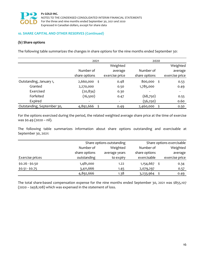

#### **10. SHARE CAPITAL AND OTHER RESERVES (Continued)**

#### **(b) Share options**

The following table summarizes the changes in share options for the nine months ended September 30:

|                            | 2021                     |                | 2020                     |                |  |
|----------------------------|--------------------------|----------------|--------------------------|----------------|--|
|                            |                          | Weighted       |                          | Weighted       |  |
|                            | Number of                | average        | Number of                | average        |  |
|                            | share options            | exercise price | share options            | exercise price |  |
| Outstanding, January 1,    | 2,660,000<br>Š.          | 0.48           | 800,000<br>Ś             | 0.53           |  |
| Granted                    | 2,270,000                | 0.50           | 1,785,000                | 0.49           |  |
| Exercised                  | (20,834)                 | 0.30           | $\overline{\phantom{a}}$ |                |  |
| Forfeited                  | (16,500)                 | 0.47           | (68,750)                 | 0.55           |  |
| Expired                    | $\overline{\phantom{a}}$ |                | (56, 250)                | 0.60           |  |
| Outstanding, September 30, | 4,892,666                | 0.49           | 2,460,000<br>S           | 0.50           |  |

For the options exercised during the period, the related weighted average share price at the time of exercise was \$0.49 (2020 – nil).

The following table summarizes information about share options outstanding and exercisable at September 30, 2021:

|                 |               | Share options outstanding |               | Share options exercisable |
|-----------------|---------------|---------------------------|---------------|---------------------------|
|                 | Number of     | Weighted                  | Number of     | Weighted                  |
|                 | share options | average years             | share options | average                   |
| Exercise prices | outstanding   | to expiry                 | exercisable   | exercise price            |
| $$0.26 - $0.50$ | 1,481,000     | 1.22                      | 1,154,667     | 0.34                      |
| $$0.51 - $0.75$ | 3,411,666     | 1.45                      | 2,079,297     | 0.57                      |
|                 | 4,892,666     | 1.38                      | 3,233,964     | 0.49                      |

The total share-based compensation expense for the nine months ended September 30, 2021 was \$855,107 (2020 – \$458,108) which was expensed in the statement of loss.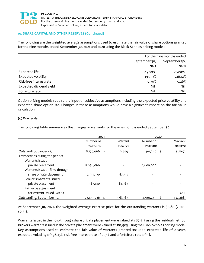

#### **10. SHARE CAPITAL AND OTHER RESERVES (Continued)**

The following are the weighted average assumptions used to estimate the fair value of share options granted for the nine months ended September 30, 2021 and 2020 using the Black-Scholes pricing model:

|                            | For the nine months ended |               |  |
|----------------------------|---------------------------|---------------|--|
|                            | September 30,             | September 30, |  |
|                            | 2021                      | 2020          |  |
| Expected life              | 2 years                   | 2 years       |  |
| <b>Expected volatility</b> | 195.33%                   | 216.12%       |  |
| Risk-free interest rate    | 0.30%                     | 0.26%         |  |
| Expected dividend yield    | Nil                       | Nil           |  |
| Forfeiture rate            | Nil                       | Nil           |  |

Option pricing models require the input of subjective assumptions including the expected price volatility and expected share option life. Changes in these assumptions would have a significant impact on the fair value calculation.

#### **(c) Warrants**

The following table summarizes the changes in warrants for the nine months ended September 30:

|                                 | 2021             |         | 2020            |         |  |
|---------------------------------|------------------|---------|-----------------|---------|--|
|                                 | Number of        | Warrant | Number of       | Warrant |  |
|                                 | warrants         | reserve | warrants        | reserve |  |
| Outstanding, January 1,         | 8,176,666 \$     | 9,489   | 301,249<br>- \$ | 131,807 |  |
| Transactions during the period: |                  |         |                 |         |  |
| Warrants issued -               |                  |         |                 |         |  |
| private placement               | 11,898,060       |         | 4,600,000       |         |  |
| Warrants issued - flow-through  |                  |         |                 |         |  |
| share private placement         | 2,917,170        | 87,515  |                 |         |  |
| Broker's warrants issued -      |                  |         |                 |         |  |
| private placement               | 187,140          | 81,983  |                 |         |  |
| Fair value adjustment           |                  |         |                 |         |  |
| for warrant issued - MOU        |                  |         |                 | 461     |  |
| Outstanding, September 30,      | 23,179,036<br>\$ | 178,987 | 4,901,249       | 132,268 |  |

At September 30, 2021, the weighted average exercise price for the outstanding warrants is \$0.80 (2020 -\$0.71).

Warrants issued in the flow-through share private placement were valued at \$87,515 using the residual method. Brokers warrants issued in the private placement were valued at \$81,983 using the Black Scholes pricing model. Key assumptions used to estimate the fair value of warrants granted included expected life of 2 years, expected volatility of 196.15%, risk‐free interest rate of 0.31% and a forfeiture rate of nil.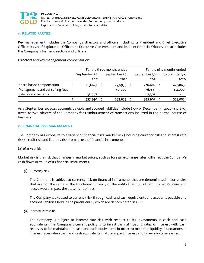

#### **11. RELATED PARTIES**

Key management includes the Company's directors and officers including its President and Chief Executive Officer, its Chief Exploration Officer, its Executive Vice President and its Chief Financial Officer. It also includes the Company's former directors and officers.

Directors and key management compensation:

|                                | For the three months ended |  |               | For the nine months ended |               |  |               |
|--------------------------------|----------------------------|--|---------------|---------------------------|---------------|--|---------------|
|                                | September 30,              |  | September 30, |                           | September 30, |  | September 30, |
|                                | 2021                       |  | 2020          |                           | 2021          |  | 2020          |
| Share-based compensation       | $203,673$ \$               |  | 293,933       |                           | 726,602       |  | 423,083       |
| Management and consulting fees |                            |  | 40,000        |                           | 76,995        |  | 112,000       |
| Salaries and benefits          | 133,667                    |  |               |                           | 142,305       |  |               |
|                                | 337,340                    |  | 333,933       |                           | 945,902       |  | 535,083       |

As at September 30, 2021, accounts payable and accrued liabilities include \$7,440 (December 31, 2020 ‐ \$12,870) owed to two officers of the Company for reimbursement of transactions incurred in the normal course of business.

#### **12. FINANCIAL RISK MANAGEMENT**

The Company has exposure to a variety of financial risks: market risk (including currency risk and interest rate risk), credit risk and liquidity risk from its use of financial instruments.

#### **(a) Market risk**

Market risk is the risk that changes in market prices, such as foreign exchange rates will affect the Company's cash flows or value of its financial instruments.

#### *(i) Currency risk*

The Company is subject to currency risk on financial instruments that are denominated in currencies that are not the same as the functional currency of the entity that holds them. Exchange gains and losses would impact the statement of loss.

The Company is exposed to currency risk through cash and cash equivalents and accounts payable and accrued liabilities held in the parent entity which are denominated in USD.

*(ii) Interest rate risk*

The Company is subject to interest rate risk with respect to its investments in cash and cash equivalents. The Company's current policy is to invest cash at floating rates of interest with cash reserves to be maintained in cash and cash equivalents in order to maintain liquidity. Fluctuations in interest rates when cash and cash equivalents mature impact interest and finance income earned.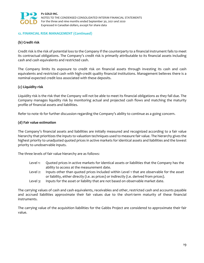

#### **12. FINANCIAL RISK MANAGEMENT (Continued)**

#### **(b) Credit risk**

Credit risk is the risk of potential loss to the Company if the counterparty to a financial instrument fails to meet its contractual obligations. The Company's credit risk is primarily attributable to its financial assets including cash and cash equivalents and restricted cash.

The Company limits its exposure to credit risk on financial assets through investing its cash and cash equivalents and restricted cash with high‐credit quality financial institutions. Management believes there is a nominal expected credit loss associated with these deposits.

#### **(c) Liquidity risk**

Liquidity risk is the risk that the Company will not be able to meet its financial obligations as they fall due. The Company manages liquidity risk by monitoring actual and projected cash flows and matching the maturity profile of financial assets and liabilities.

Refer to note 1b for further discussion regarding the Company's ability to continue as a going concern.

#### **(d) Fair value estimation**

The Company's financial assets and liabilities are initially measured and recognized according to a fair value hierarchy that prioritizes the inputs to valuation techniques used to measure fair value. The hierarchy gives the highest priority to unadjusted quoted prices in active markets for identical assets and liabilities and the lowest priority to unobservable inputs.

The three levels of fair value hierarchy are as follows:

- Level 1: Quoted prices in active markets for identical assets or liabilities that the Company has the ability to access at the measurement date.
- Level 2: Inputs other than quoted prices included within Level 1 that are observable for the asset or liability, either directly (i.e. as prices) or indirectly (i.e. derived from prices).
- Level 3: Inputs for the asset or liability that are not based on observable market date.

The carrying values of cash and cash equivalents, receivables and other, restricted cash and accounts payable and accrued liabilities approximate their fair values due to the short-term maturity of these financial instruments.

The carrying value of the acquisition liabilities for the Gabbs Project are considered to approximate their fair value.